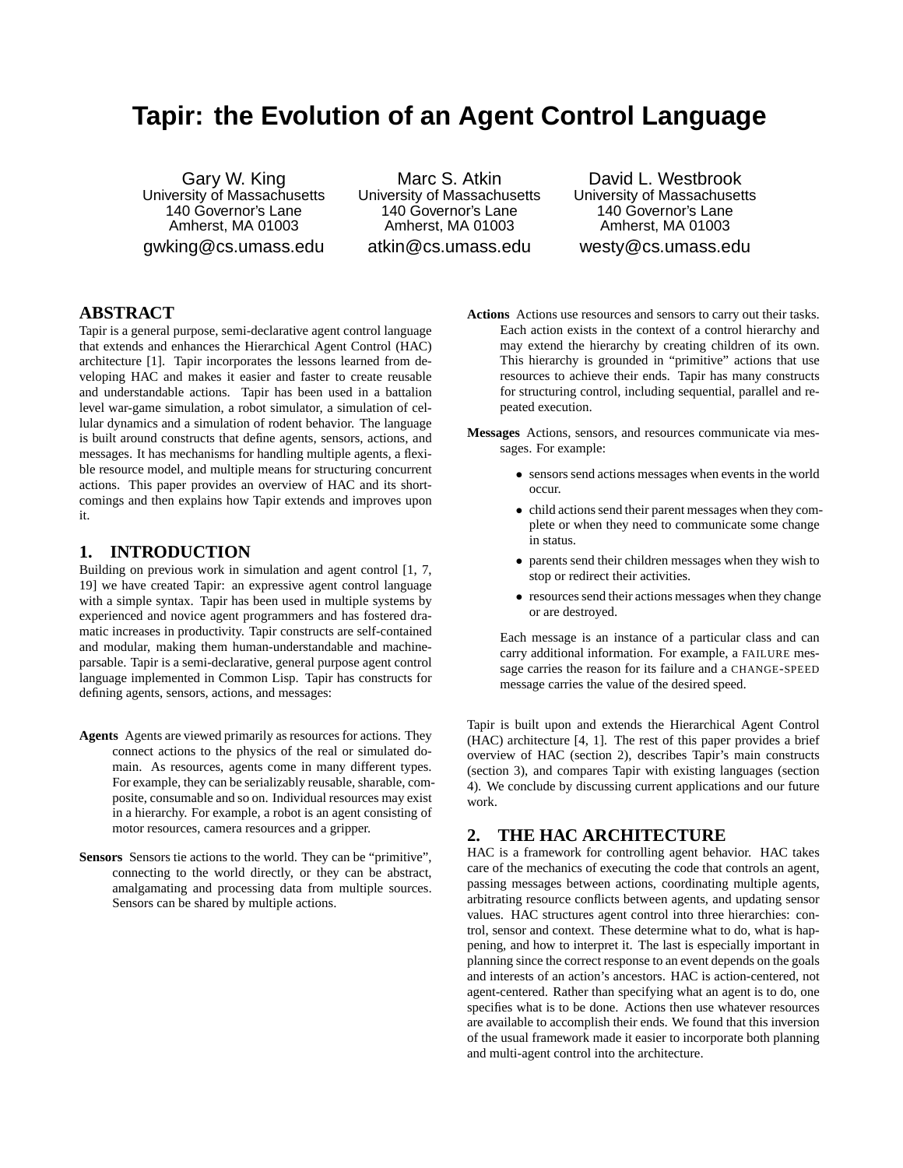# **Tapir: the Evolution of an Agent Control Language**

Gary W. King University of Massachusetts 140 Governor's Lane Amherst, MA 01003 gwking@cs.umass.edu

Marc S. Atkin University of Massachusetts 140 Governor's Lane Amherst, MA 01003 atkin@cs.umass.edu

David L. Westbrook University of Massachusetts 140 Governor's Lane Amherst, MA 01003 westy@cs.umass.edu

# **ABSTRACT**

Tapir is a general purpose, semi-declarative agent control language that extends and enhances the Hierarchical Agent Control (HAC) architecture [1]. Tapir incorporates the lessons learned from developing HAC and makes it easier and faster to create reusable and understandable actions. Tapir has been used in a battalion level war-game simulation, a robot simulator, a simulation of cellular dynamics and a simulation of rodent behavior. The language is built around constructs that define agents, sensors, actions, and messages. It has mechanisms for handling multiple agents, a flexible resource model, and multiple means for structuring concurrent actions. This paper provides an overview of HAC and its shortcomings and then explains how Tapir extends and improves upon it.

# **1. INTRODUCTION**

Building on previous work in simulation and agent control [1, 7, 19] we have created Tapir: an expressive agent control language with a simple syntax. Tapir has been used in multiple systems by experienced and novice agent programmers and has fostered dramatic increases in productivity. Tapir constructs are self-contained and modular, making them human-understandable and machineparsable. Tapir is a semi-declarative, general purpose agent control language implemented in Common Lisp. Tapir has constructs for defining agents, sensors, actions, and messages:

- **Agents** Agents are viewed primarily as resources for actions. They connect actions to the physics of the real or simulated domain. As resources, agents come in many different types. For example, they can be serializably reusable, sharable, composite, consumable and so on. Individual resources may exist in a hierarchy. For example, a robot is an agent consisting of motor resources, camera resources and a gripper.
- **Sensors** Sensors tie actions to the world. They can be "primitive", connecting to the world directly, or they can be abstract, amalgamating and processing data from multiple sources. Sensors can be shared by multiple actions.
- **Actions** Actions use resources and sensors to carry out their tasks. Each action exists in the context of a control hierarchy and may extend the hierarchy by creating children of its own. This hierarchy is grounded in "primitive" actions that use resources to achieve their ends. Tapir has many constructs for structuring control, including sequential, parallel and repeated execution.
- **Messages** Actions, sensors, and resources communicate via messages. For example:
	- sensors send actions messages when events in the world occur.
	- child actions send their parent messages when they complete or when they need to communicate some change in status.
	- parents send their children messages when they wish to stop or redirect their activities.
	- resources send their actions messages when they change or are destroyed.

Each message is an instance of a particular class and can carry additional information. For example, a FAILURE message carries the reason for its failure and a CHANGE-SPEED message carries the value of the desired speed.

Tapir is built upon and extends the Hierarchical Agent Control (HAC) architecture [4, 1]. The rest of this paper provides a brief overview of HAC (section 2), describes Tapir's main constructs (section 3), and compares Tapir with existing languages (section 4). We conclude by discussing current applications and our future work.

# **2. THE HAC ARCHITECTURE**

HAC is a framework for controlling agent behavior. HAC takes care of the mechanics of executing the code that controls an agent, passing messages between actions, coordinating multiple agents, arbitrating resource conflicts between agents, and updating sensor values. HAC structures agent control into three hierarchies: control, sensor and context. These determine what to do, what is happening, and how to interpret it. The last is especially important in planning since the correct response to an event depends on the goals and interests of an action's ancestors. HAC is action-centered, not agent-centered. Rather than specifying what an agent is to do, one specifies what is to be done. Actions then use whatever resources are available to accomplish their ends. We found that this inversion of the usual framework made it easier to incorporate both planning and multi-agent control into the architecture.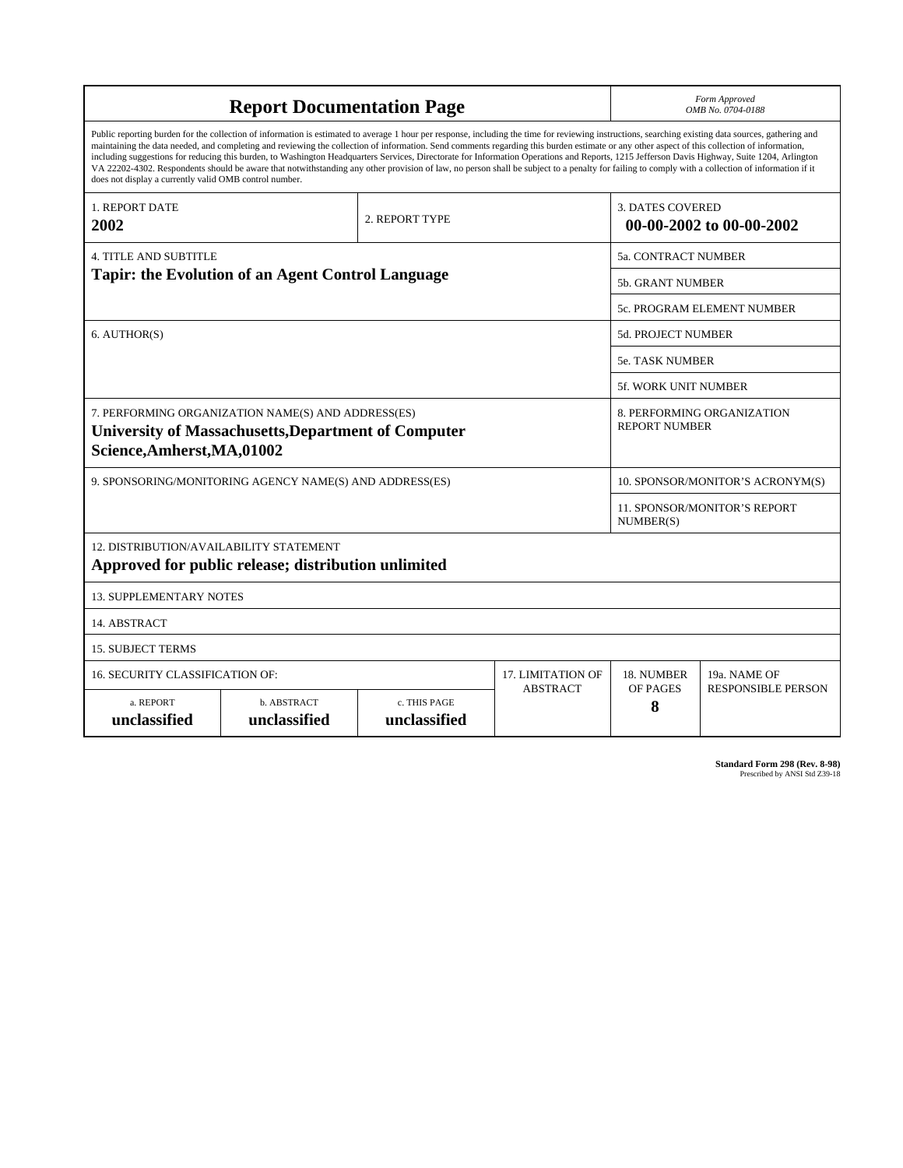| <b>Report Documentation Page</b>                                                                                                                                                                                                                                                                                                                                                                                                                                                                                                                                                                                                                                                                                                                                                                                                                                   |                             |                              |                 | Form Approved<br>OMB No. 0704-0188                  |                           |  |
|--------------------------------------------------------------------------------------------------------------------------------------------------------------------------------------------------------------------------------------------------------------------------------------------------------------------------------------------------------------------------------------------------------------------------------------------------------------------------------------------------------------------------------------------------------------------------------------------------------------------------------------------------------------------------------------------------------------------------------------------------------------------------------------------------------------------------------------------------------------------|-----------------------------|------------------------------|-----------------|-----------------------------------------------------|---------------------------|--|
| Public reporting burden for the collection of information is estimated to average 1 hour per response, including the time for reviewing instructions, searching existing data sources, gathering and<br>maintaining the data needed, and completing and reviewing the collection of information. Send comments regarding this burden estimate or any other aspect of this collection of information,<br>including suggestions for reducing this burden, to Washington Headquarters Services, Directorate for Information Operations and Reports, 1215 Jefferson Davis Highway, Suite 1204, Arlington<br>VA 22202-4302. Respondents should be aware that notwithstanding any other provision of law, no person shall be subject to a penalty for failing to comply with a collection of information if it<br>does not display a currently valid OMB control number. |                             |                              |                 |                                                     |                           |  |
| <b>1. REPORT DATE</b><br>2. REPORT TYPE<br>2002                                                                                                                                                                                                                                                                                                                                                                                                                                                                                                                                                                                                                                                                                                                                                                                                                    |                             |                              |                 | <b>3. DATES COVERED</b><br>00-00-2002 to 00-00-2002 |                           |  |
| <b>4. TITLE AND SUBTITLE</b>                                                                                                                                                                                                                                                                                                                                                                                                                                                                                                                                                                                                                                                                                                                                                                                                                                       |                             |                              |                 | <b>5a. CONTRACT NUMBER</b>                          |                           |  |
| Tapir: the Evolution of an Agent Control Language                                                                                                                                                                                                                                                                                                                                                                                                                                                                                                                                                                                                                                                                                                                                                                                                                  |                             |                              |                 | <b>5b. GRANT NUMBER</b>                             |                           |  |
|                                                                                                                                                                                                                                                                                                                                                                                                                                                                                                                                                                                                                                                                                                                                                                                                                                                                    |                             |                              |                 | 5c. PROGRAM ELEMENT NUMBER                          |                           |  |
| 6. AUTHOR(S)                                                                                                                                                                                                                                                                                                                                                                                                                                                                                                                                                                                                                                                                                                                                                                                                                                                       |                             |                              |                 | <b>5d. PROJECT NUMBER</b>                           |                           |  |
|                                                                                                                                                                                                                                                                                                                                                                                                                                                                                                                                                                                                                                                                                                                                                                                                                                                                    |                             |                              |                 | <b>5e. TASK NUMBER</b>                              |                           |  |
|                                                                                                                                                                                                                                                                                                                                                                                                                                                                                                                                                                                                                                                                                                                                                                                                                                                                    |                             |                              |                 | <b>5f. WORK UNIT NUMBER</b>                         |                           |  |
| 7. PERFORMING ORGANIZATION NAME(S) AND ADDRESS(ES)<br><b>University of Massachusetts, Department of Computer</b><br>Science, Amherst, MA, 01002                                                                                                                                                                                                                                                                                                                                                                                                                                                                                                                                                                                                                                                                                                                    |                             |                              |                 | 8. PERFORMING ORGANIZATION<br><b>REPORT NUMBER</b>  |                           |  |
| 9. SPONSORING/MONITORING AGENCY NAME(S) AND ADDRESS(ES)                                                                                                                                                                                                                                                                                                                                                                                                                                                                                                                                                                                                                                                                                                                                                                                                            |                             |                              |                 | 10. SPONSOR/MONITOR'S ACRONYM(S)                    |                           |  |
|                                                                                                                                                                                                                                                                                                                                                                                                                                                                                                                                                                                                                                                                                                                                                                                                                                                                    |                             |                              |                 | <b>11. SPONSOR/MONITOR'S REPORT</b><br>NUMBER(S)    |                           |  |
| 12. DISTRIBUTION/AVAILABILITY STATEMENT<br>Approved for public release; distribution unlimited                                                                                                                                                                                                                                                                                                                                                                                                                                                                                                                                                                                                                                                                                                                                                                     |                             |                              |                 |                                                     |                           |  |
| <b>13. SUPPLEMENTARY NOTES</b>                                                                                                                                                                                                                                                                                                                                                                                                                                                                                                                                                                                                                                                                                                                                                                                                                                     |                             |                              |                 |                                                     |                           |  |
| 14. ABSTRACT                                                                                                                                                                                                                                                                                                                                                                                                                                                                                                                                                                                                                                                                                                                                                                                                                                                       |                             |                              |                 |                                                     |                           |  |
| <b>15. SUBJECT TERMS</b>                                                                                                                                                                                                                                                                                                                                                                                                                                                                                                                                                                                                                                                                                                                                                                                                                                           |                             |                              |                 |                                                     |                           |  |
| 16. SECURITY CLASSIFICATION OF:<br>17. LIMITATION OF                                                                                                                                                                                                                                                                                                                                                                                                                                                                                                                                                                                                                                                                                                                                                                                                               |                             |                              |                 | 18. NUMBER                                          | 19a. NAME OF              |  |
| a. REPORT<br>unclassified                                                                                                                                                                                                                                                                                                                                                                                                                                                                                                                                                                                                                                                                                                                                                                                                                                          | b. ABSTRACT<br>unclassified | c. THIS PAGE<br>unclassified | <b>ABSTRACT</b> | OF PAGES<br>8                                       | <b>RESPONSIBLE PERSON</b> |  |

**Standard Form 298 (Rev. 8-98)**<br>Prescribed by ANSI Std Z39-18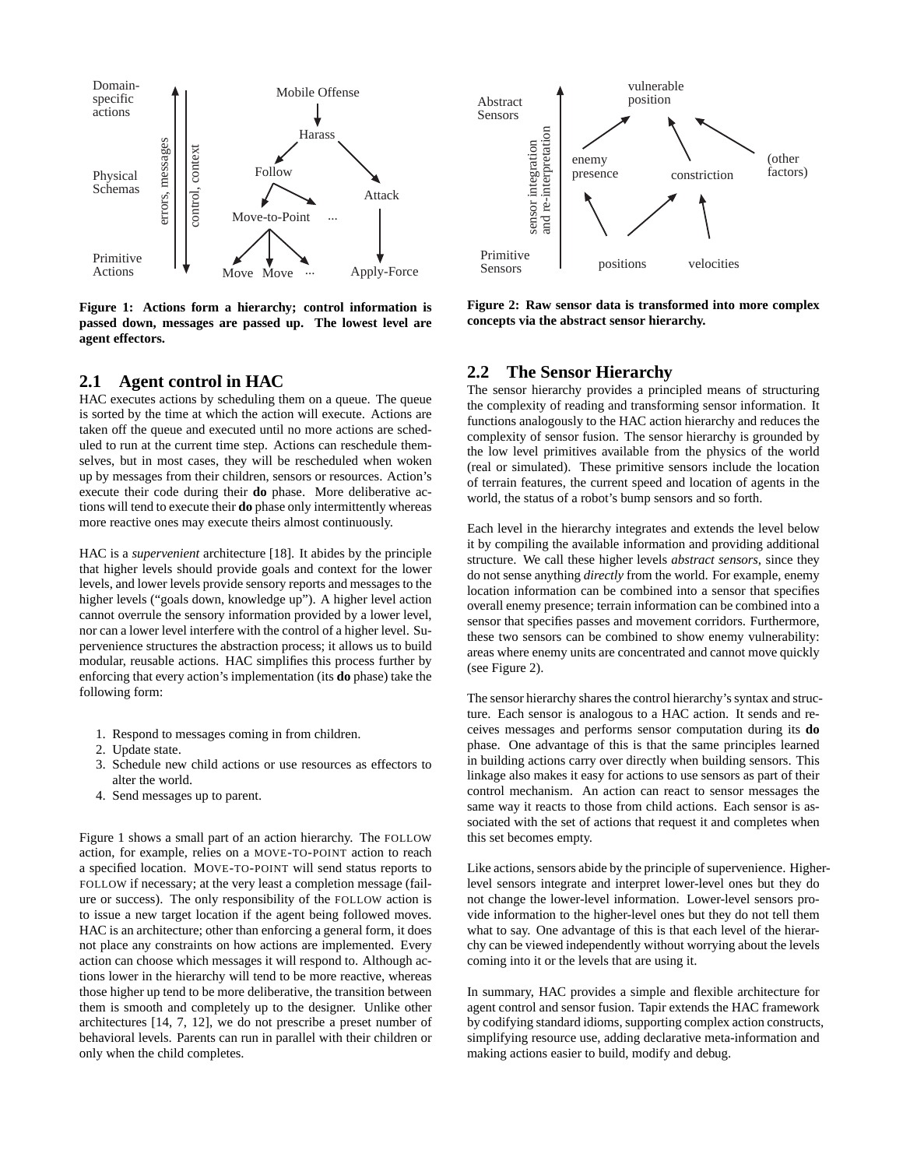

**Figure 1: Actions form a hierarchy; control information is passed down, messages are passed up. The lowest level are agent effectors.**

# **2.1 Agent control in HAC**

HAC executes actions by scheduling them on a queue. The queue is sorted by the time at which the action will execute. Actions are taken off the queue and executed until no more actions are scheduled to run at the current time step. Actions can reschedule themselves, but in most cases, they will be rescheduled when woken up by messages from their children, sensors or resources. Action's execute their code during their **do** phase. More deliberative actions will tend to execute their **do** phase only intermittently whereas more reactive ones may execute theirs almost continuously.

HAC is a *supervenient* architecture [18]. It abides by the principle that higher levels should provide goals and context for the lower levels, and lower levels provide sensory reports and messages to the higher levels ("goals down, knowledge up"). A higher level action cannot overrule the sensory information provided by a lower level, nor can a lower level interfere with the control of a higher level. Supervenience structures the abstraction process; it allows us to build modular, reusable actions. HAC simplifies this process further by enforcing that every action's implementation (its **do** phase) take the following form:

- 1. Respond to messages coming in from children.
- 2. Update state.
- 3. Schedule new child actions or use resources as effectors to alter the world.
- 4. Send messages up to parent.

Figure 1 shows a small part of an action hierarchy. The FOLLOW action, for example, relies on a MOVE-TO-POINT action to reach a specified location. MOVE-TO-POINT will send status reports to FOLLOW if necessary; at the very least a completion message (failure or success). The only responsibility of the FOLLOW action is to issue a new target location if the agent being followed moves. HAC is an architecture; other than enforcing a general form, it does not place any constraints on how actions are implemented. Every action can choose which messages it will respond to. Although actions lower in the hierarchy will tend to be more reactive, whereas those higher up tend to be more deliberative, the transition between them is smooth and completely up to the designer. Unlike other architectures [14, 7, 12], we do not prescribe a preset number of behavioral levels. Parents can run in parallel with their children or only when the child completes.



**Figure 2: Raw sensor data is transformed into more complex concepts via the abstract sensor hierarchy.**

# **2.2 The Sensor Hierarchy**

The sensor hierarchy provides a principled means of structuring the complexity of reading and transforming sensor information. It functions analogously to the HAC action hierarchy and reduces the complexity of sensor fusion. The sensor hierarchy is grounded by the low level primitives available from the physics of the world (real or simulated). These primitive sensors include the location of terrain features, the current speed and location of agents in the world, the status of a robot's bump sensors and so forth.

Each level in the hierarchy integrates and extends the level below it by compiling the available information and providing additional structure. We call these higher levels *abstract sensors*, since they do not sense anything *directly* from the world. For example, enemy location information can be combined into a sensor that specifies overall enemy presence; terrain information can be combined into a sensor that specifies passes and movement corridors. Furthermore, these two sensors can be combined to show enemy vulnerability: areas where enemy units are concentrated and cannot move quickly (see Figure 2).

The sensor hierarchy shares the control hierarchy's syntax and structure. Each sensor is analogous to a HAC action. It sends and receives messages and performs sensor computation during its **do** phase. One advantage of this is that the same principles learned in building actions carry over directly when building sensors. This linkage also makes it easy for actions to use sensors as part of their control mechanism. An action can react to sensor messages the same way it reacts to those from child actions. Each sensor is associated with the set of actions that request it and completes when this set becomes empty.

Like actions, sensors abide by the principle of supervenience. Higherlevel sensors integrate and interpret lower-level ones but they do not change the lower-level information. Lower-level sensors provide information to the higher-level ones but they do not tell them what to say. One advantage of this is that each level of the hierarchy can be viewed independently without worrying about the levels coming into it or the levels that are using it.

In summary, HAC provides a simple and flexible architecture for agent control and sensor fusion. Tapir extends the HAC framework by codifying standard idioms, supporting complex action constructs, simplifying resource use, adding declarative meta-information and making actions easier to build, modify and debug.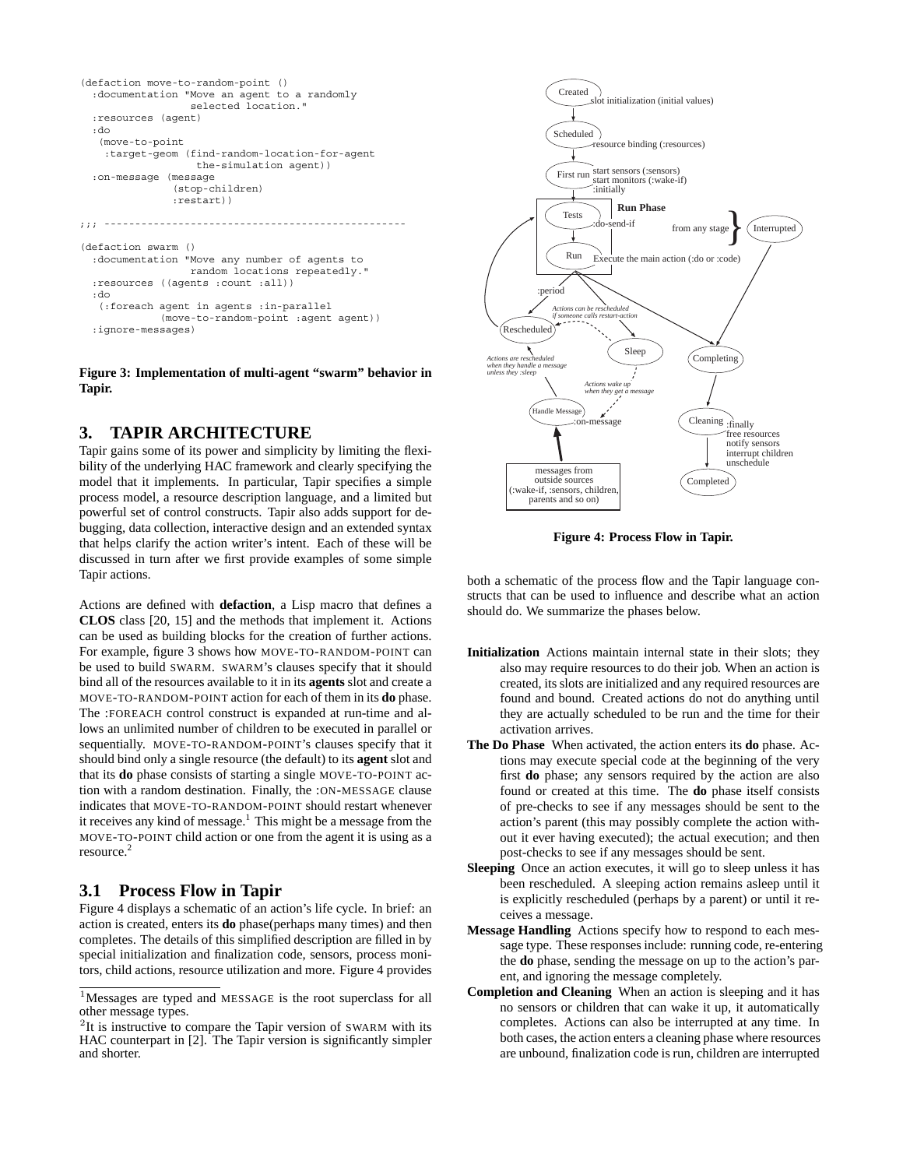```
(defaction move-to-random-point ()
  :documentation "Move an agent to a randomly
                 selected location."
  :resources (agent)
 :do
   (move-to-point
    :target-geom (find-random-location-for-agent
                   the-simulation agent))
  :on-message (message
               (stop-children)
               :restart))
;;; -------------------------------------------------
(defaction swarm ()
  :documentation "Move any number of agents to
                  random locations repeatedly."
  :resources ((agents :count :all))
  :do
   (:foreach agent in agents :in-parallel
             (move-to-random-point :agent agent))
  :ignore-messages)
```
**Figure 3: Implementation of multi-agent "swarm" behavior in Tapir.**

# **3. TAPIR ARCHITECTURE**

Tapir gains some of its power and simplicity by limiting the flexibility of the underlying HAC framework and clearly specifying the model that it implements. In particular, Tapir specifies a simple process model, a resource description language, and a limited but powerful set of control constructs. Tapir also adds support for debugging, data collection, interactive design and an extended syntax that helps clarify the action writer's intent. Each of these will be discussed in turn after we first provide examples of some simple Tapir actions.

Actions are defined with **defaction**, a Lisp macro that defines a **CLOS** class [20, 15] and the methods that implement it. Actions can be used as building blocks for the creation of further actions. For example, figure 3 shows how MOVE-TO-RANDOM-POINT can be used to build SWARM. SWARM's clauses specify that it should bind all of the resources available to it in its **agents** slot and create a MOVE-TO-RANDOM-POINT action for each of them in its **do** phase. The :FOREACH control construct is expanded at run-time and allows an unlimited number of children to be executed in parallel or sequentially. MOVE-TO-RANDOM-POINT's clauses specify that it should bind only a single resource (the default) to its **agent** slot and that its **do** phase consists of starting a single MOVE-TO-POINT action with a random destination. Finally, the :ON-MESSAGE clause indicates that MOVE-TO-RANDOM-POINT should restart whenever it receives any kind of message.<sup>1</sup> This might be a message from the MOVE-TO-POINT child action or one from the agent it is using as a resource.<sup>2</sup>

# **3.1 Process Flow in Tapir**

Figure 4 displays a schematic of an action's life cycle. In brief: an action is created, enters its **do** phase(perhaps many times) and then completes. The details of this simplified description are filled in by special initialization and finalization code, sensors, process monitors, child actions, resource utilization and more. Figure 4 provides



**Figure 4: Process Flow in Tapir.**

both a schematic of the process flow and the Tapir language constructs that can be used to influence and describe what an action should do. We summarize the phases below.

- **Initialization** Actions maintain internal state in their slots; they also may require resources to do their job. When an action is created, its slots are initialized and any required resources are found and bound. Created actions do not do anything until they are actually scheduled to be run and the time for their activation arrives.
- **The Do Phase** When activated, the action enters its **do** phase. Actions may execute special code at the beginning of the very first **do** phase; any sensors required by the action are also found or created at this time. The **do** phase itself consists of pre-checks to see if any messages should be sent to the action's parent (this may possibly complete the action without it ever having executed); the actual execution; and then post-checks to see if any messages should be sent.
- **Sleeping** Once an action executes, it will go to sleep unless it has been rescheduled. A sleeping action remains asleep until it is explicitly rescheduled (perhaps by a parent) or until it receives a message.
- **Message Handling** Actions specify how to respond to each message type. These responses include: running code, re-entering the **do** phase, sending the message on up to the action's parent, and ignoring the message completely.
- **Completion and Cleaning** When an action is sleeping and it has no sensors or children that can wake it up, it automatically completes. Actions can also be interrupted at any time. In both cases, the action enters a cleaning phase where resources are unbound, finalization code is run, children are interrupted

<sup>1</sup>Messages are typed and MESSAGE is the root superclass for all other message types.

 $2$ It is instructive to compare the Tapir version of SWARM with its HAC counterpart in [2]. The Tapir version is significantly simpler and shorter.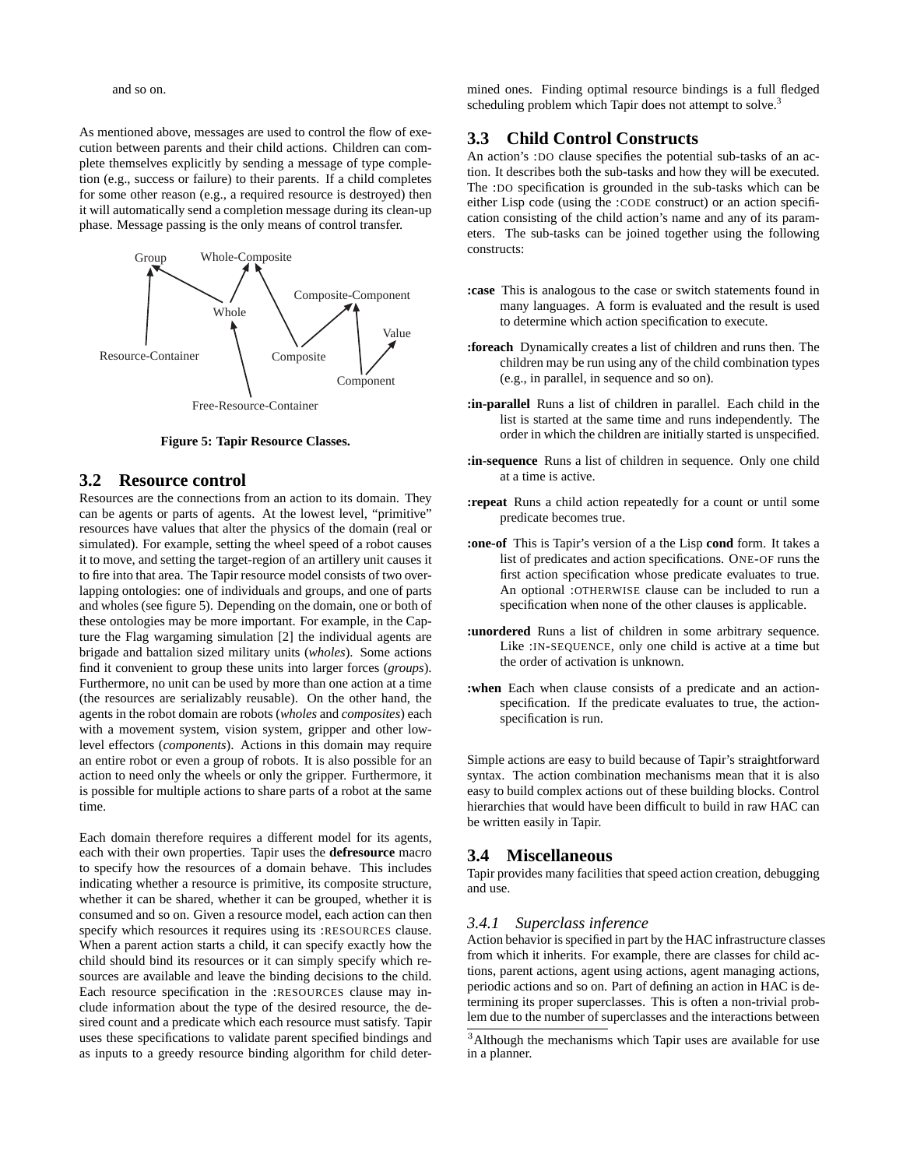and so on.

As mentioned above, messages are used to control the flow of execution between parents and their child actions. Children can complete themselves explicitly by sending a message of type completion (e.g., success or failure) to their parents. If a child completes for some other reason (e.g., a required resource is destroyed) then it will automatically send a completion message during its clean-up phase. Message passing is the only means of control transfer.



**Figure 5: Tapir Resource Classes.**

# **3.2 Resource control**

Resources are the connections from an action to its domain. They can be agents or parts of agents. At the lowest level, "primitive" resources have values that alter the physics of the domain (real or simulated). For example, setting the wheel speed of a robot causes it to move, and setting the target-region of an artillery unit causes it to fire into that area. The Tapir resource model consists of two overlapping ontologies: one of individuals and groups, and one of parts and wholes (see figure 5). Depending on the domain, one or both of these ontologies may be more important. For example, in the Capture the Flag wargaming simulation [2] the individual agents are brigade and battalion sized military units (*wholes*). Some actions find it convenient to group these units into larger forces (*groups*). Furthermore, no unit can be used by more than one action at a time (the resources are serializably reusable). On the other hand, the agents in the robot domain are robots (*wholes* and *composites*) each with a movement system, vision system, gripper and other lowlevel effectors (*components*). Actions in this domain may require an entire robot or even a group of robots. It is also possible for an action to need only the wheels or only the gripper. Furthermore, it is possible for multiple actions to share parts of a robot at the same time.

Each domain therefore requires a different model for its agents, each with their own properties. Tapir uses the **defresource** macro to specify how the resources of a domain behave. This includes indicating whether a resource is primitive, its composite structure, whether it can be shared, whether it can be grouped, whether it is consumed and so on. Given a resource model, each action can then specify which resources it requires using its :RESOURCES clause. When a parent action starts a child, it can specify exactly how the child should bind its resources or it can simply specify which resources are available and leave the binding decisions to the child. Each resource specification in the :RESOURCES clause may include information about the type of the desired resource, the desired count and a predicate which each resource must satisfy. Tapir uses these specifications to validate parent specified bindings and as inputs to a greedy resource binding algorithm for child determined ones. Finding optimal resource bindings is a full fledged scheduling problem which Tapir does not attempt to solve.<sup>3</sup>

# **3.3 Child Control Constructs**

An action's :DO clause specifies the potential sub-tasks of an action. It describes both the sub-tasks and how they will be executed. The :DO specification is grounded in the sub-tasks which can be either Lisp code (using the :CODE construct) or an action specification consisting of the child action's name and any of its parameters. The sub-tasks can be joined together using the following constructs:

- **:case** This is analogous to the case or switch statements found in many languages. A form is evaluated and the result is used to determine which action specification to execute.
- **:foreach** Dynamically creates a list of children and runs then. The children may be run using any of the child combination types (e.g., in parallel, in sequence and so on).
- **:in-parallel** Runs a list of children in parallel. Each child in the list is started at the same time and runs independently. The order in which the children are initially started is unspecified.
- **:in-sequence** Runs a list of children in sequence. Only one child at a time is active.
- **:repeat** Runs a child action repeatedly for a count or until some predicate becomes true.
- **:one-of** This is Tapir's version of a the Lisp **cond** form. It takes a list of predicates and action specifications. ONE-OF runs the first action specification whose predicate evaluates to true. An optional :OTHERWISE clause can be included to run a specification when none of the other clauses is applicable.
- **:unordered** Runs a list of children in some arbitrary sequence. Like :IN-SEQUENCE, only one child is active at a time but the order of activation is unknown.
- **:when** Each when clause consists of a predicate and an actionspecification. If the predicate evaluates to true, the actionspecification is run.

Simple actions are easy to build because of Tapir's straightforward syntax. The action combination mechanisms mean that it is also easy to build complex actions out of these building blocks. Control hierarchies that would have been difficult to build in raw HAC can be written easily in Tapir.

## **3.4 Miscellaneous**

Tapir provides many facilities that speed action creation, debugging and use.

## *3.4.1 Superclass inference*

Action behavior is specified in part by the HAC infrastructure classes from which it inherits. For example, there are classes for child actions, parent actions, agent using actions, agent managing actions, periodic actions and so on. Part of defining an action in HAC is determining its proper superclasses. This is often a non-trivial problem due to the number of superclasses and the interactions between

<sup>&</sup>lt;sup>3</sup>Although the mechanisms which Tapir uses are available for use in a planner.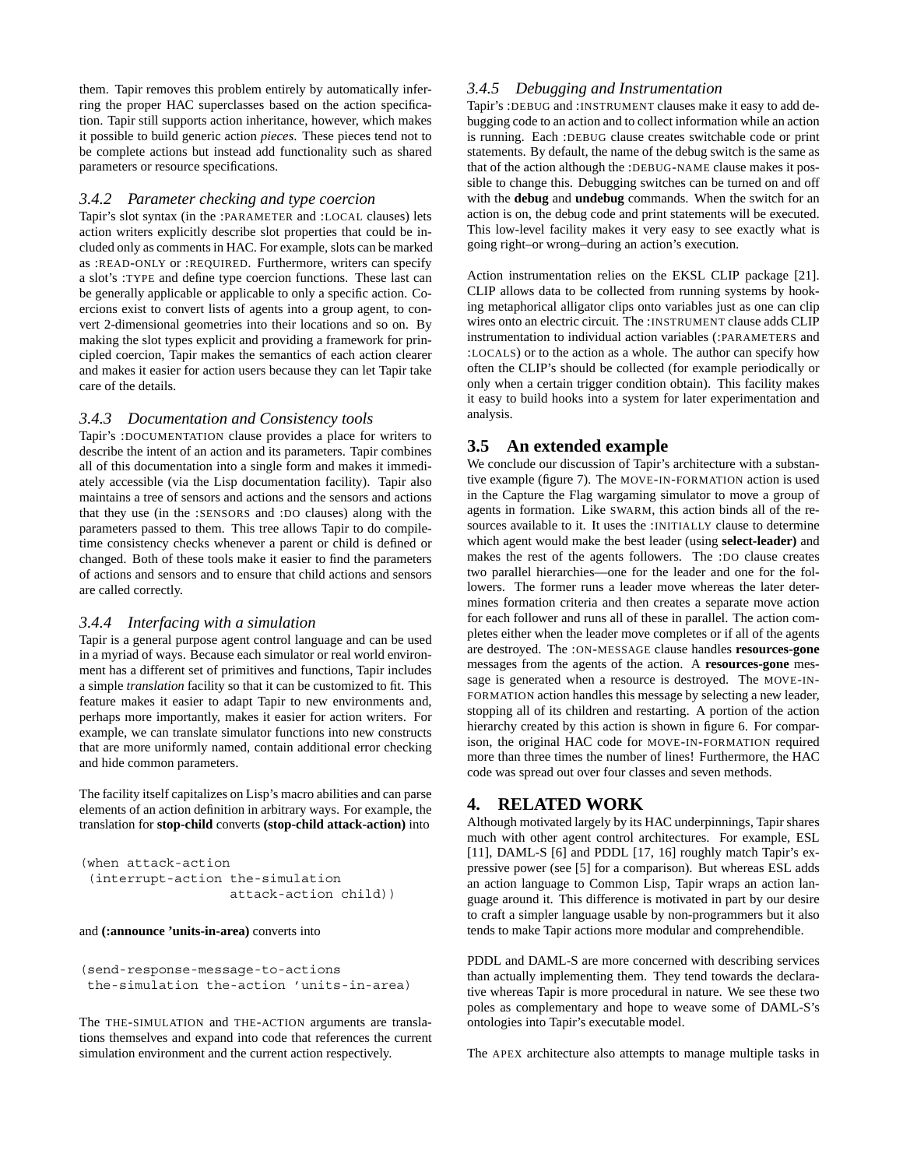them. Tapir removes this problem entirely by automatically inferring the proper HAC superclasses based on the action specification. Tapir still supports action inheritance, however, which makes it possible to build generic action *pieces*. These pieces tend not to be complete actions but instead add functionality such as shared parameters or resource specifications.

#### *3.4.2 Parameter checking and type coercion*

Tapir's slot syntax (in the :PARAMETER and :LOCAL clauses) lets action writers explicitly describe slot properties that could be included only as comments in HAC. For example, slots can be marked as :READ-ONLY or :REQUIRED. Furthermore, writers can specify a slot's :TYPE and define type coercion functions. These last can be generally applicable or applicable to only a specific action. Coercions exist to convert lists of agents into a group agent, to convert 2-dimensional geometries into their locations and so on. By making the slot types explicit and providing a framework for principled coercion, Tapir makes the semantics of each action clearer and makes it easier for action users because they can let Tapir take care of the details.

## *3.4.3 Documentation and Consistency tools*

Tapir's :DOCUMENTATION clause provides a place for writers to describe the intent of an action and its parameters. Tapir combines all of this documentation into a single form and makes it immediately accessible (via the Lisp documentation facility). Tapir also maintains a tree of sensors and actions and the sensors and actions that they use (in the :SENSORS and :DO clauses) along with the parameters passed to them. This tree allows Tapir to do compiletime consistency checks whenever a parent or child is defined or changed. Both of these tools make it easier to find the parameters of actions and sensors and to ensure that child actions and sensors are called correctly.

## *3.4.4 Interfacing with a simulation*

Tapir is a general purpose agent control language and can be used in a myriad of ways. Because each simulator or real world environment has a different set of primitives and functions, Tapir includes a simple *translation* facility so that it can be customized to fit. This feature makes it easier to adapt Tapir to new environments and, perhaps more importantly, makes it easier for action writers. For example, we can translate simulator functions into new constructs that are more uniformly named, contain additional error checking and hide common parameters.

The facility itself capitalizes on Lisp's macro abilities and can parse elements of an action definition in arbitrary ways. For example, the translation for **stop-child** converts **(stop-child attack-action)** into

```
(when attack-action
 (interrupt-action the-simulation
                   attack-action child))
```
#### and **(:announce 'units-in-area)** converts into

```
(send-response-message-to-actions
the-simulation the-action 'units-in-area)
```
The THE-SIMULATION and THE-ACTION arguments are translations themselves and expand into code that references the current simulation environment and the current action respectively.

## *3.4.5 Debugging and Instrumentation*

Tapir's :DEBUG and :INSTRUMENT clauses make it easy to add debugging code to an action and to collect information while an action is running. Each :DEBUG clause creates switchable code or print statements. By default, the name of the debug switch is the same as that of the action although the :DEBUG-NAME clause makes it possible to change this. Debugging switches can be turned on and off with the **debug** and **undebug** commands. When the switch for an action is on, the debug code and print statements will be executed. This low-level facility makes it very easy to see exactly what is going right–or wrong–during an action's execution.

Action instrumentation relies on the EKSL CLIP package [21]. CLIP allows data to be collected from running systems by hooking metaphorical alligator clips onto variables just as one can clip wires onto an electric circuit. The :INSTRUMENT clause adds CLIP instrumentation to individual action variables (:PARAMETERS and :LOCALS) or to the action as a whole. The author can specify how often the CLIP's should be collected (for example periodically or only when a certain trigger condition obtain). This facility makes it easy to build hooks into a system for later experimentation and analysis.

# **3.5 An extended example**

We conclude our discussion of Tapir's architecture with a substantive example (figure 7). The MOVE-IN-FORMATION action is used in the Capture the Flag wargaming simulator to move a group of agents in formation. Like SWARM, this action binds all of the resources available to it. It uses the :INITIALLY clause to determine which agent would make the best leader (using **select-leader)** and makes the rest of the agents followers. The :DO clause creates two parallel hierarchies—one for the leader and one for the followers. The former runs a leader move whereas the later determines formation criteria and then creates a separate move action for each follower and runs all of these in parallel. The action completes either when the leader move completes or if all of the agents are destroyed. The :ON-MESSAGE clause handles **resources-gone** messages from the agents of the action. A **resources-gone** message is generated when a resource is destroyed. The MOVE-IN-FORMATION action handles this message by selecting a new leader, stopping all of its children and restarting. A portion of the action hierarchy created by this action is shown in figure 6. For comparison, the original HAC code for MOVE-IN-FORMATION required more than three times the number of lines! Furthermore, the HAC code was spread out over four classes and seven methods.

# **4. RELATED WORK**

Although motivated largely by its HAC underpinnings, Tapir shares much with other agent control architectures. For example, ESL [11], DAML-S [6] and PDDL [17, 16] roughly match Tapir's expressive power (see [5] for a comparison). But whereas ESL adds an action language to Common Lisp, Tapir wraps an action language around it. This difference is motivated in part by our desire to craft a simpler language usable by non-programmers but it also tends to make Tapir actions more modular and comprehendible.

PDDL and DAML-S are more concerned with describing services than actually implementing them. They tend towards the declarative whereas Tapir is more procedural in nature. We see these two poles as complementary and hope to weave some of DAML-S's ontologies into Tapir's executable model.

The APEX architecture also attempts to manage multiple tasks in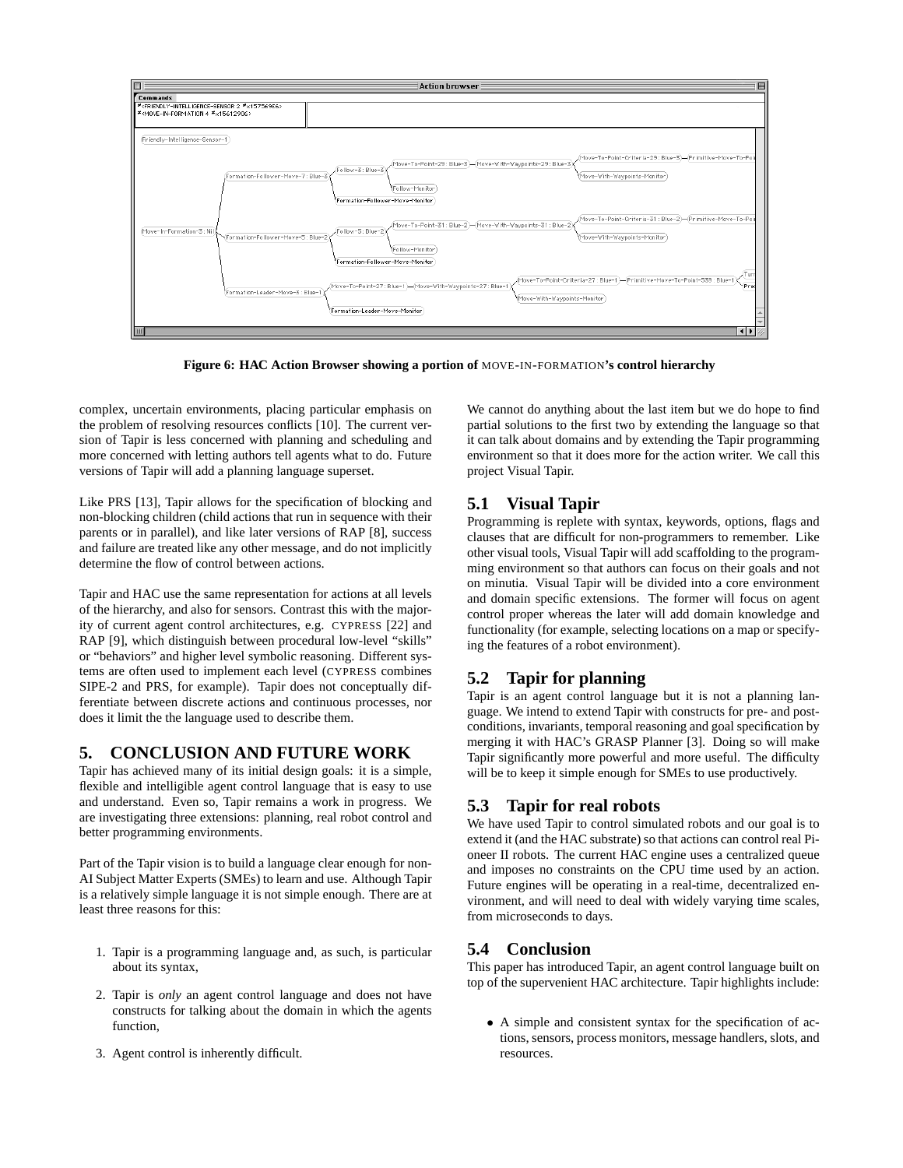

**Figure 6: HAC Action Browser showing a portion of** MOVE-IN-FORMATION**'s control hierarchy**

complex, uncertain environments, placing particular emphasis on the problem of resolving resources conflicts [10]. The current version of Tapir is less concerned with planning and scheduling and more concerned with letting authors tell agents what to do. Future versions of Tapir will add a planning language superset.

Like PRS [13], Tapir allows for the specification of blocking and non-blocking children (child actions that run in sequence with their parents or in parallel), and like later versions of RAP [8], success and failure are treated like any other message, and do not implicitly determine the flow of control between actions.

Tapir and HAC use the same representation for actions at all levels of the hierarchy, and also for sensors. Contrast this with the majority of current agent control architectures, e.g. CYPRESS [22] and RAP [9], which distinguish between procedural low-level "skills" or "behaviors" and higher level symbolic reasoning. Different systems are often used to implement each level (CYPRESS combines SIPE-2 and PRS, for example). Tapir does not conceptually differentiate between discrete actions and continuous processes, nor does it limit the the language used to describe them.

# **5. CONCLUSION AND FUTURE WORK**

Tapir has achieved many of its initial design goals: it is a simple, flexible and intelligible agent control language that is easy to use and understand. Even so, Tapir remains a work in progress. We are investigating three extensions: planning, real robot control and better programming environments.

Part of the Tapir vision is to build a language clear enough for non-AI Subject Matter Experts (SMEs) to learn and use. Although Tapir is a relatively simple language it is not simple enough. There are at least three reasons for this:

- 1. Tapir is a programming language and, as such, is particular about its syntax,
- 2. Tapir is *only* an agent control language and does not have constructs for talking about the domain in which the agents function,
- 3. Agent control is inherently difficult.

We cannot do anything about the last item but we do hope to find partial solutions to the first two by extending the language so that it can talk about domains and by extending the Tapir programming environment so that it does more for the action writer. We call this project Visual Tapir.

# **5.1 Visual Tapir**

Programming is replete with syntax, keywords, options, flags and clauses that are difficult for non-programmers to remember. Like other visual tools, Visual Tapir will add scaffolding to the programming environment so that authors can focus on their goals and not on minutia. Visual Tapir will be divided into a core environment and domain specific extensions. The former will focus on agent control proper whereas the later will add domain knowledge and functionality (for example, selecting locations on a map or specifying the features of a robot environment).

# **5.2 Tapir for planning**

Tapir is an agent control language but it is not a planning language. We intend to extend Tapir with constructs for pre- and postconditions, invariants, temporal reasoning and goal specification by merging it with HAC's GRASP Planner [3]. Doing so will make Tapir significantly more powerful and more useful. The difficulty will be to keep it simple enough for SMEs to use productively.

# **5.3 Tapir for real robots**

We have used Tapir to control simulated robots and our goal is to extend it (and the HAC substrate) so that actions can control real Pioneer II robots. The current HAC engine uses a centralized queue and imposes no constraints on the CPU time used by an action. Future engines will be operating in a real-time, decentralized environment, and will need to deal with widely varying time scales, from microseconds to days.

# **5.4 Conclusion**

This paper has introduced Tapir, an agent control language built on top of the supervenient HAC architecture. Tapir highlights include:

• A simple and consistent syntax for the specification of actions, sensors, process monitors, message handlers, slots, and resources.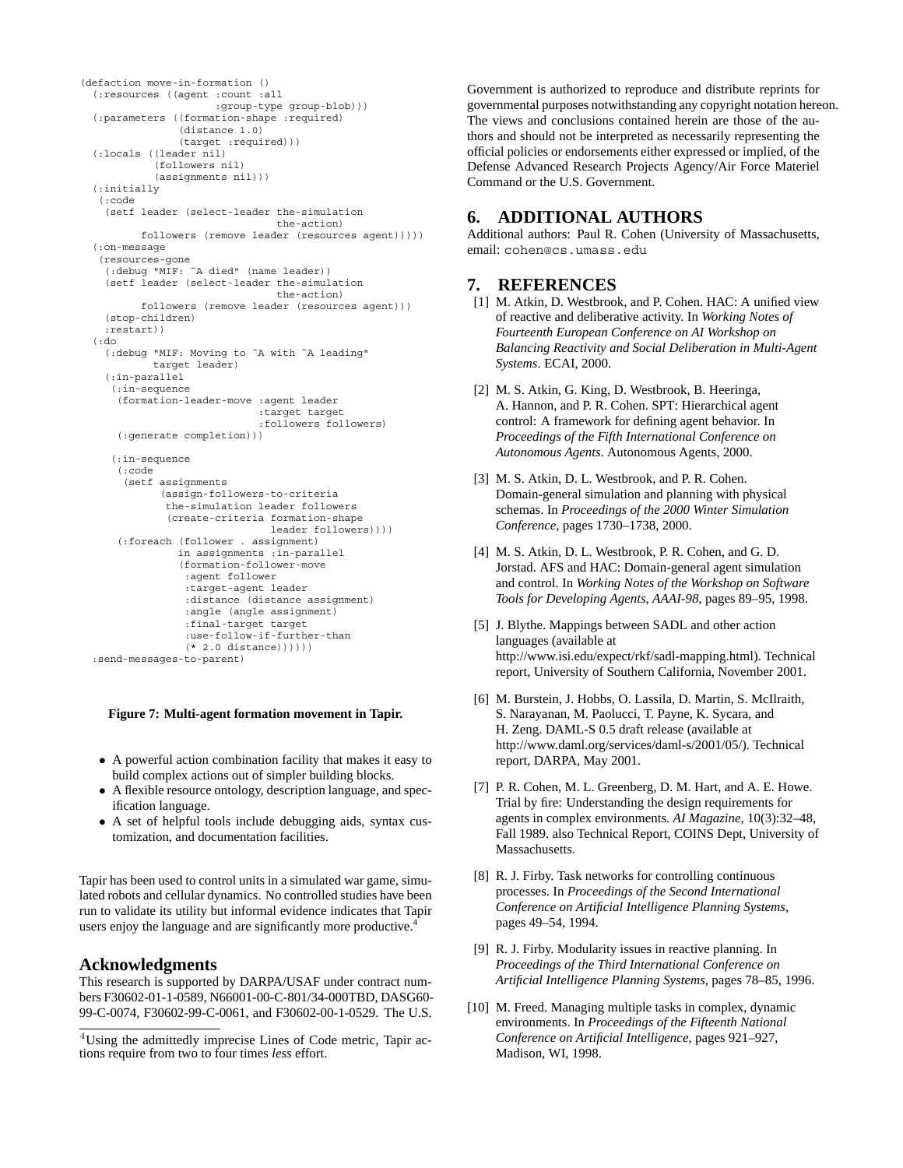```
(defaction move-in-formation ()
  (:resources ((agent :count :all
                     :group-type group-blob)))
  (:parameters ((formation-shape :required)
                (distance 1.0)
                (target :required)))
  (:locals ((leader nil)
            (followers nil)
            (assignments nil)))
 (:initially
   (:code
   (setf leader (select-leader the-simulation
                                the-action)
         followers (remove leader (resources agent)))))
  (:on-message
   (resources-gone
    (:debug "MIF: ˜A died" (name leader))
    (setf leader (select-leader the-simulation
                                the-action)
         followers (remove leader (resources agent)))
   (stop-children)
   :restart))
  (:do
    (:debug "MIF: Moving to ˜A with ˜A leading"
            target leader)
    (:in-parallel
    (:in-sequence
     (formation-leader-move :agent leader
                             :target target
                             :followers followers)
     (:generate completion)))
    (:in-sequence
     (:code
       (setf assignments
             (assign-followers-to-criteria
              the-simulation leader followers
              (create-criteria formation-shape
                               leader followers))))
      (:foreach (follower . assignment)
                in assignments :in-parallel
                (formation-follower-move
                 :agent follower
                 :target-agent leader
                 :distance (distance assignment)
                 :angle (angle assignment)
                 :final-target target
                 :use-follow-if-further-than
                 (* 2.0 distance)))))
 :send-messages-to-parent)
```
#### **Figure 7: Multi-agent formation movement in Tapir.**

- A powerful action combination facility that makes it easy to build complex actions out of simpler building blocks.
- A flexible resource ontology, description language, and specification language.
- A set of helpful tools include debugging aids, syntax customization, and documentation facilities.

Tapir has been used to control units in a simulated war game, simulated robots and cellular dynamics. No controlled studies have been run to validate its utility but informal evidence indicates that Tapir users enjoy the language and are significantly more productive.<sup>4</sup>

## **Acknowledgments**

This research is supported by DARPA/USAF under contract numbers F30602-01-1-0589, N66001-00-C-801/34-000TBD, DASG60- 99-C-0074, F30602-99-C-0061, and F30602-00-1-0529. The U.S. Government is authorized to reproduce and distribute reprints for governmental purposes notwithstanding any copyright notation hereon. The views and conclusions contained herein are those of the authors and should not be interpreted as necessarily representing the official policies or endorsements either expressed or implied, of the Defense Advanced Research Projects Agency/Air Force Materiel Command or the U.S. Government.

# **6. ADDITIONAL AUTHORS**

Additional authors: Paul R. Cohen (University of Massachusetts, email: cohen@cs.umass.edu

# **7. REFERENCES**

- [1] M. Atkin, D. Westbrook, and P. Cohen. HAC: A unified view of reactive and deliberative activity. In *Working Notes of Fourteenth European Conference on AI Workshop on Balancing Reactivity and Social Deliberation in Multi-Agent Systems*. ECAI, 2000.
- [2] M. S. Atkin, G. King, D. Westbrook, B. Heeringa, A. Hannon, and P. R. Cohen. SPT: Hierarchical agent control: A framework for defining agent behavior. In *Proceedings of the Fifth International Conference on Autonomous Agents*. Autonomous Agents, 2000.
- [3] M. S. Atkin, D. L. Westbrook, and P. R. Cohen. Domain-general simulation and planning with physical schemas. In *Proceedings of the 2000 Winter Simulation Conference*, pages 1730–1738, 2000.
- [4] M. S. Atkin, D. L. Westbrook, P. R. Cohen, and G. D. Jorstad. AFS and HAC: Domain-general agent simulation and control. In *Working Notes of the Workshop on Software Tools for Developing Agents, AAAI-98*, pages 89–95, 1998.
- [5] J. Blythe. Mappings between SADL and other action languages (available at http://www.isi.edu/expect/rkf/sadl-mapping.html). Technical report, University of Southern California, November 2001.
- [6] M. Burstein, J. Hobbs, O. Lassila, D. Martin, S. McIlraith, S. Narayanan, M. Paolucci, T. Payne, K. Sycara, and H. Zeng. DAML-S 0.5 draft release (available at http://www.daml.org/services/daml-s/2001/05/). Technical report, DARPA, May 2001.
- [7] P. R. Cohen, M. L. Greenberg, D. M. Hart, and A. E. Howe. Trial by fire: Understanding the design requirements for agents in complex environments. *AI Magazine*, 10(3):32–48, Fall 1989. also Technical Report, COINS Dept, University of Massachusetts.
- [8] R. J. Firby. Task networks for controlling continuous processes. In *Proceedings of the Second International Conference on Artificial Intelligence Planning Systems*, pages 49–54, 1994.
- [9] R. J. Firby. Modularity issues in reactive planning. In *Proceedings of the Third International Conference on Artificial Intelligence Planning Systems*, pages 78–85, 1996.
- [10] M. Freed. Managing multiple tasks in complex, dynamic environments. In *Proceedings of the Fifteenth National Conference on Artificial Intelligence*, pages 921–927, Madison, WI, 1998.

<sup>4</sup>Using the admittedly imprecise Lines of Code metric, Tapir actions require from two to four times *less* effort.